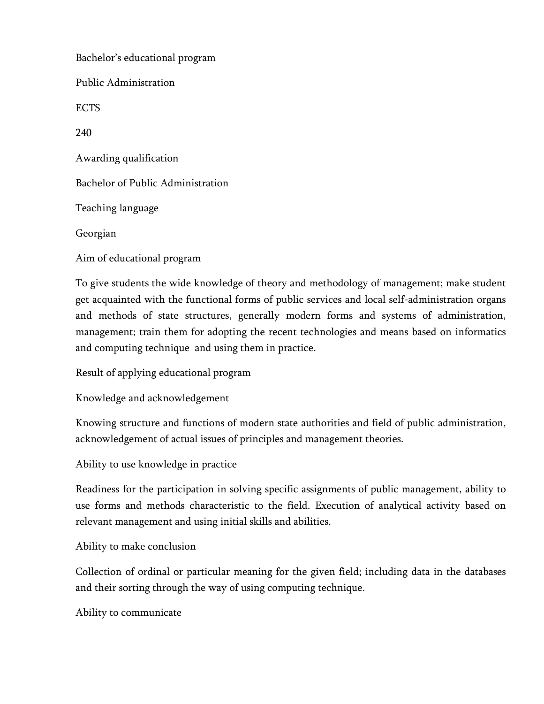Bachelor's educational program Public Administration ECTS 240 Awarding qualification Bachelor of Public Administration Teaching language Georgian Aim of educational program

To give students the wide knowledge of theory and methodology of management; make student get acquainted with the functional forms of public services and local self-administration organs and methods of state structures, generally modern forms and systems of administration, management; train them for adopting the recent technologies and means based on informatics and computing technique and using them in practice.

Result of applying educational program

Knowledge and acknowledgement

Knowing structure and functions of modern state authorities and field of public administration, acknowledgement of actual issues of principles and management theories.

Ability to use knowledge in practice

Readiness for the participation in solving specific assignments of public management, ability to use forms and methods characteristic to the field. Execution of analytical activity based on relevant management and using initial skills and abilities.

Ability to make conclusion

Collection of ordinal or particular meaning for the given field; including data in the databases and their sorting through the way of using computing technique.

Ability to communicate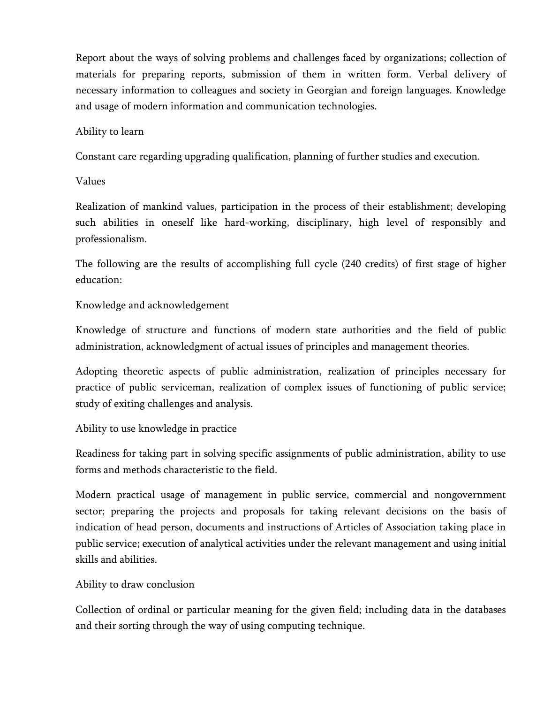Report about the ways of solving problems and challenges faced by organizations; collection of materials for preparing reports, submission of them in written form. Verbal delivery of necessary information to colleagues and society in Georgian and foreign languages. Knowledge and usage of modern information and communication technologies.

#### Ability to learn

Constant care regarding upgrading qualification, planning of further studies and execution.

#### Values

Realization of mankind values, participation in the process of their establishment; developing such abilities in oneself like hard-working, disciplinary, high level of responsibly and professionalism.

The following are the results of accomplishing full cycle (240 credits) of first stage of higher education:

# Knowledge and acknowledgement

Knowledge of structure and functions of modern state authorities and the field of public administration, acknowledgment of actual issues of principles and management theories.

Adopting theoretic aspects of public administration, realization of principles necessary for practice of public serviceman, realization of complex issues of functioning of public service; study of exiting challenges and analysis.

Ability to use knowledge in practice

Readiness for taking part in solving specific assignments of public administration, ability to use forms and methods characteristic to the field.

Modern practical usage of management in public service, commercial and nongovernment sector; preparing the projects and proposals for taking relevant decisions on the basis of indication of head person, documents and instructions of Articles of Association taking place in public service; execution of analytical activities under the relevant management and using initial skills and abilities.

# Ability to draw conclusion

Collection of ordinal or particular meaning for the given field; including data in the databases and their sorting through the way of using computing technique.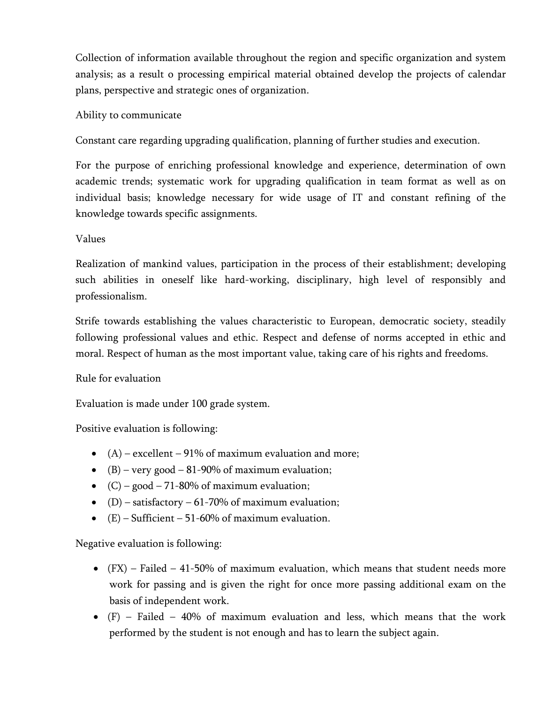Collection of information available throughout the region and specific organization and system analysis; as a result o processing empirical material obtained develop the projects of calendar plans, perspective and strategic ones of organization.

### Ability to communicate

Constant care regarding upgrading qualification, planning of further studies and execution.

For the purpose of enriching professional knowledge and experience, determination of own academic trends; systematic work for upgrading qualification in team format as well as on individual basis; knowledge necessary for wide usage of IT and constant refining of the knowledge towards specific assignments.

#### Values

Realization of mankind values, participation in the process of their establishment; developing such abilities in oneself like hard-working, disciplinary, high level of responsibly and professionalism.

Strife towards establishing the values characteristic to European, democratic society, steadily following professional values and ethic. Respect and defense of norms accepted in ethic and moral. Respect of human as the most important value, taking care of his rights and freedoms.

# Rule for evaluation

Evaluation is made under 100 grade system.

Positive evaluation is following:

- $(A)$  excellent 91% of maximum evaluation and more;
- (B) very good 81-90% of maximum evaluation;
- $(C)$  good 71-80% of maximum evaluation;
- (D) satisfactory 61-70% of maximum evaluation;
- $(E)$  Sufficient 51-60% of maximum evaluation.

Negative evaluation is following:

- (FX) Failed 41-50% of maximum evaluation, which means that student needs more work for passing and is given the right for once more passing additional exam on the basis of independent work.
- (F) Failed 40% of maximum evaluation and less, which means that the work performed by the student is not enough and has to learn the subject again.